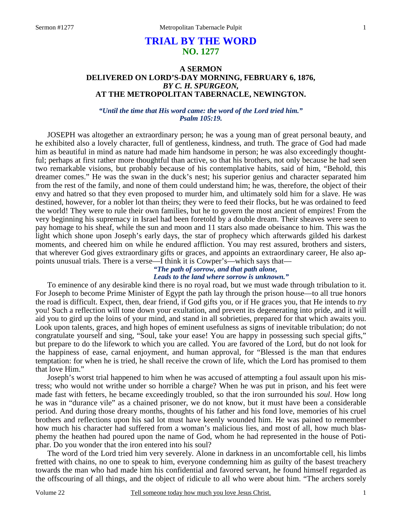# **TRIAL BY THE WORD NO. 1277**

### **A SERMON DELIVERED ON LORD'S-DAY MORNING, FEBRUARY 6, 1876,**  *BY C. H. SPURGEON,*  **AT THE METROPOLITAN TABERNACLE, NEWINGTON.**

*"Until the time that His word came: the word of the Lord tried him." Psalm 105:19.* 

JOSEPH was altogether an extraordinary person; he was a young man of great personal beauty, and he exhibited also a lovely character, full of gentleness, kindness, and truth. The grace of God had made him as beautiful in mind as nature had made him handsome in person; he was also exceedingly thoughtful; perhaps at first rather more thoughtful than active, so that his brothers, not only because he had seen two remarkable visions, but probably because of his contemplative habits, said of him, "Behold, this dreamer comes." He was the swan in the duck's nest; his superior genius and character separated him from the rest of the family, and none of them could understand him; he was, therefore, the object of their envy and hatred so that they even proposed to murder him, and ultimately sold him for a slave. He was destined, however, for a nobler lot than theirs; they were to feed their flocks, but he was ordained to feed the world! They were to rule their own families, but he to govern the most ancient of empires! From the very beginning his supremacy in Israel had been foretold by a double dream. Their sheaves were seen to pay homage to his sheaf, while the sun and moon and 11 stars also made obeisance to him. This was the light which shone upon Joseph's early days, the star of prophecy which afterwards gilded his darkest moments, and cheered him on while he endured affliction. You may rest assured, brothers and sisters, that wherever God gives extraordinary gifts or graces, and appoints an extraordinary career, He also appoints unusual trials. There is a verse—I think it is Cowper's—which says that—

*"The path of sorrow, and that path alone, Leads to the land where sorrow is unknown."* 

 To eminence of any desirable kind there is no royal road, but we must wade through tribulation to it. For Joseph to become Prime Minister of Egypt the path lay through the prison house—to all true honors the road is difficult. Expect, then, dear friend, if God gifts you, or if He graces you, that He intends to *try* you! Such a reflection will tone down your exultation, and prevent its degenerating into pride, and it will aid you to gird up the loins of your mind, and stand in all sobrieties, prepared for that which awaits you. Look upon talents, graces, and high hopes of eminent usefulness as signs of inevitable tribulation; do not congratulate yourself and sing, "Soul, take your ease! You are happy in possessing such special gifts," but prepare to do the lifework to which you are called. You are favored of the Lord, but do not look for the happiness of ease, carnal enjoyment, and human approval, for "Blessed is the man that endures temptation: for when he is tried, he shall receive the crown of life, which the Lord has promised to them that love Him."

Joseph's worst trial happened to him when he was accused of attempting a foul assault upon his mistress; who would not writhe under so horrible a charge? When he was put in prison, and his feet were made fast with fetters, he became exceedingly troubled, so that the iron surrounded his *soul*. How long he was in "durance vile" as a chained prisoner, we do not know, but it must have been a considerable period. And during those dreary months, thoughts of his father and his fond love, memories of his cruel brothers and reflections upon his sad lot must have keenly wounded him. He was pained to remember how much his character had suffered from a woman's malicious lies, and most of all, how much blasphemy the heathen had poured upon the name of God, whom he had represented in the house of Potiphar. Do you wonder that the iron entered into his soul?

The word of the Lord tried him very severely. Alone in darkness in an uncomfortable cell, his limbs fretted with chains, no one to speak to him, everyone condemning him as guilty of the basest treachery towards the man who had made him his confidential and favored servant, he found himself regarded as the offscouring of all things, and the object of ridicule to all who were about him. "The archers sorely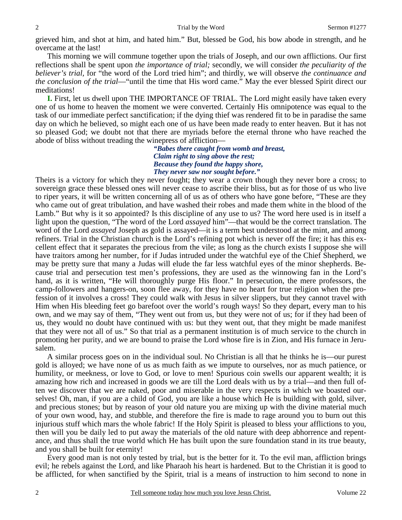grieved him, and shot at him, and hated him." But, blessed be God, his bow abode in strength, and he overcame at the last!

This morning we will commune together upon the trials of Joseph, and our own afflictions. Our first reflections shall be spent upon *the importance of trial;* secondly, we will consider *the peculiarity of the believer's trial,* for "the word of the Lord tried him"; and thirdly, we will observe *the continuance and the conclusion of the trial*—"until the time that His word came." May the ever blessed Spirit direct our meditations!

**I.** First, let us dwell upon THE IMPORTANCE OF TRIAL. The Lord might easily have taken every one of us home to heaven the moment we were converted. Certainly His omnipotence was equal to the task of our immediate perfect sanctification; if the dying thief was rendered fit to be in paradise the same day on which he believed, so might each one of us have been made ready to enter heaven. But it has not so pleased God; we doubt not that there are myriads before the eternal throne who have reached the abode of bliss without treading the winepress of affliction—

> *"Babes there caught from womb and breast, Claim right to sing above the rest; Because they found the happy shore, They never saw nor sought before."*

Theirs is a victory for which they never fought; they wear a crown though they never bore a cross; to sovereign grace these blessed ones will never cease to ascribe their bliss, but as for those of us who live to riper years, it will be written concerning all of us as of others who have gone before, "These are they who came out of great tribulation, and have washed their robes and made them white in the blood of the Lamb." But why is it so appointed? Is this discipline of any use to us? The word here used is in itself a light upon the question, "The word of the Lord *assayed* him"—that would be the correct translation. The word of the Lord *assayed* Joseph as gold is assayed—it is a term best understood at the mint, and among refiners. Trial in the Christian church is the Lord's refining pot which is never off the fire; it has this excellent effect that it separates the precious from the vile; as long as the church exists I suppose she will have traitors among her number, for if Judas intruded under the watchful eye of the Chief Shepherd, we may be pretty sure that many a Judas will elude the far less watchful eyes of the minor shepherds. Because trial and persecution test men's professions, they are used as the winnowing fan in the Lord's hand, as it is written, "He will thoroughly purge His floor." In persecution, the mere professors, the camp-followers and hangers-on, soon flee away, for they have no heart for true religion when the profession of it involves a cross! They could walk with Jesus in silver slippers, but they cannot travel with Him when His bleeding feet go barefoot over the world's rough ways! So they depart, every man to his own, and we may say of them, "They went out from us, but they were not of us; for if they had been of us, they would no doubt have continued with us: but they went out, that they might be made manifest that they were not all of us." So that trial as a permanent institution is of much service to the church in promoting her purity, and we are bound to praise the Lord whose fire is in Zion, and His furnace in Jerusalem.

A similar process goes on in the individual soul. No Christian is all that he thinks he is—our purest gold is alloyed; we have none of us as much faith as we impute to ourselves, nor as much patience, or humility, or meekness, or love to God, or love to men! Spurious coin swells our apparent wealth; it is amazing how rich and increased in goods we are till the Lord deals with us by a trial—and then full often we discover that we are naked, poor and miserable in the very respects in which we boasted ourselves! Oh, man, if you are a child of God, you are like a house which He is building with gold, silver, and precious stones; but by reason of your old nature you are mixing up with the divine material much of your own wood, hay, and stubble, and therefore the fire is made to rage around you to burn out this injurious stuff which mars the whole fabric! If the Holy Spirit is pleased to bless your afflictions to you, then will you be daily led to put away the materials of the old nature with deep abhorrence and repentance, and thus shall the true world which He has built upon the sure foundation stand in its true beauty, and you shall be built for eternity!

Every good man is not only tested by trial, but is the better for it. To the evil man, affliction brings evil; he rebels against the Lord, and like Pharaoh his heart is hardened. But to the Christian it is good to be afflicted, for when sanctified by the Spirit, trial is a means of instruction to him second to none in

2

2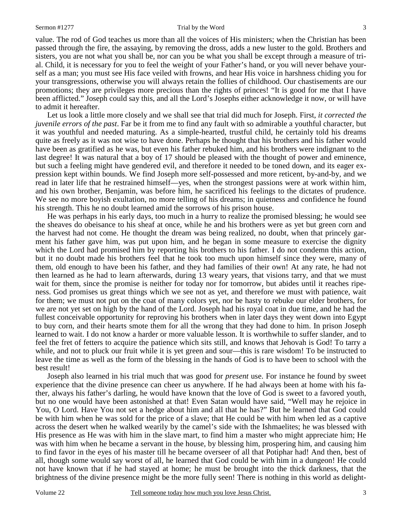value. The rod of God teaches us more than all the voices of His ministers; when the Christian has been passed through the fire, the assaying, by removing the dross, adds a new luster to the gold. Brothers and sisters, you are not what you shall be, nor can you be what you shall be except through a measure of trial. Child, it is necessary for you to feel the weight of your Father's hand, or you will never behave yourself as a man; you must see His face veiled with frowns, and hear His voice in harshness chiding you for your transgressions, otherwise you will always retain the follies of childhood. Our chastisements are our promotions; they are privileges more precious than the rights of princes! "It is good for me that I have been afflicted." Joseph could say this, and all the Lord's Josephs either acknowledge it now, or will have to admit it hereafter.

Let us look a little more closely and we shall see that trial did much for Joseph. First, *it corrected the juvenile errors of the past*. Far be it from me to find any fault with so admirable a youthful character, but it was youthful and needed maturing. As a simple-hearted, trustful child, he certainly told his dreams quite as freely as it was not wise to have done. Perhaps he thought that his brothers and his father would have been as gratified as he was, but even his father rebuked him, and his brothers were indignant to the last degree! It was natural that a boy of 17 should be pleased with the thought of power and eminence, but such a feeling might have gendered evil, and therefore it needed to be toned down, and its eager expression kept within bounds. We find Joseph more self-possessed and more reticent, by-and-by, and we read in later life that he restrained himself—yes, when the strongest passions were at work within him, and his own brother, Benjamin, was before him, he sacrificed his feelings to the dictates of prudence. We see no more boyish exultation, no more telling of his dreams; in quietness and confidence he found his strength. This he no doubt learned amid the sorrows of his prison house.

He was perhaps in his early days, too much in a hurry to realize the promised blessing; he would see the sheaves do obeisance to his sheaf at once, while he and his brothers were as yet but green corn and the harvest had not come. He thought the dream was being realized, no doubt, when that princely garment his father gave him, was put upon him, and he began in some measure to exercise the dignity which the Lord had promised him by reporting his brothers to his father. I do not condemn this action, but it no doubt made his brothers feel that he took too much upon himself since they were, many of them, old enough to have been his father, and they had families of their own! At any rate, he had not then learned as he had to learn afterwards, during 13 weary years, that visions tarry, and that we must wait for them, since the promise is neither for today nor for tomorrow, but abides until it reaches ripeness. God promises us great things which we see not as yet, and therefore we must with patience, wait for them; we must not put on the coat of many colors yet, nor be hasty to rebuke our elder brothers, for we are not yet set on high by the hand of the Lord. Joseph had his royal coat in due time, and he had the fullest conceivable opportunity for reproving his brothers when in later days they went down into Egypt to buy corn, and their hearts smote them for all the wrong that they had done to him. In prison Joseph learned to wait. I do not know a harder or more valuable lesson. It is worthwhile to suffer slander, and to feel the fret of fetters to acquire the patience which sits still, and knows that Jehovah is God! To tarry a while, and not to pluck our fruit while it is yet green and sour—this is rare wisdom! To be instructed to leave the time as well as the form of the blessing in the hands of God is to have been to school with the best result!

Joseph also learned in his trial much that was good for *present* use. For instance he found by sweet experience that the divine presence can cheer us anywhere. If he had always been at home with his father, always his father's darling, he would have known that the love of God is sweet to a favored youth, but no one would have been astonished at that! Even Satan would have said, "Well may he rejoice in You, O Lord. Have You not set a hedge about him and all that he has?" But he learned that God could be with him when he was sold for the price of a slave; that He could be with him when led as a captive across the desert when he walked wearily by the camel's side with the Ishmaelites; he was blessed with His presence as He was with him in the slave mart, to find him a master who might appreciate him; He was with him when he became a servant in the house, by blessing him, prospering him, and causing him to find favor in the eyes of his master till he became overseer of all that Potiphar had! And then, best of all, though some would say worst of all, he learned that God could be with him in a dungeon! He could not have known that if he had stayed at home; he must be brought into the thick darkness, that the brightness of the divine presence might be the more fully seen! There is nothing in this world as delight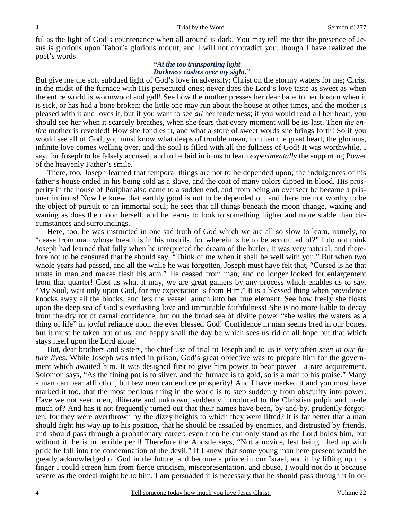ful as the light of God's countenance when all around is dark. You may tell me that the presence of Jesus is glorious upon Tabor's glorious mount, and I will not contradict you, though I have realized the poet's words—

#### *"At the too transporting light Darkness rushes over my sight."*

But give me the soft subdued light of God's love in adversity; Christ on the stormy waters for me; Christ in the midst of the furnace with His persecuted ones; never does the Lord's love taste as sweet as when the entire world is wormwood and gall! See how the mother presses her dear babe to her bosom when it is sick, or has had a bone broken; the little one may run about the house at other times, and the mother is pleased with it and loves it, but if you want to see *all* her tenderness; if you would read all her heart, you should see her when it scarcely breathes, when she fears that every moment will be its last. Then *the entire* mother is revealed! How she fondles it, and what a store of sweet words she brings forth! So if you would see all of God, you must know what deeps of trouble mean, for then the great heart, the glorious, infinite love comes welling over, and the soul is filled with all the fullness of God! It was worthwhile, I say, for Joseph to be falsely accused, and to be laid in irons to learn *experimentally* the supporting Power of the heavenly Father's smile.

 There, too, Joseph learned that temporal things are not to be depended upon; the indulgences of his father's house ended in his being sold as a slave, and the coat of many colors dipped in blood. His prosperity in the house of Potiphar also came to a sudden end, and from being an overseer he became a prisoner in irons! Now he knew that earthly good is not to be depended on, and therefore not worthy to be the object of pursuit to an immortal soul; he sees that all things beneath the moon change, waxing and waning as does the moon herself, and he learns to look to something higher and more stable than circumstances and surroundings.

 Here, too, he was instructed in one sad truth of God which we are all so slow to learn, namely, to "cease from man whose breath is in his nostrils, for wherein is he to be accounted of?" I do not think Joseph had learned that fully when he interpreted the dream of the butler. It was very natural, and therefore not to be censured that he should say, "Think of me when it shall be well with you." But when two whole years had passed, and all the while he was forgotten, Joseph must have felt that, "Cursed is he that trusts in man and makes flesh his arm." He ceased from man, and no longer looked for enlargement from that quarter! Cost us what it may, we are great gainers by any process which enables us to say, "My Soul, wait only upon God, for my expectation is from Him." It is a blessed thing when providence knocks away all the blocks, and lets the vessel launch into her true element. See how freely she floats upon the deep sea of God's everlasting love and immutable faithfulness! She is no more liable to decay from the dry rot of carnal confidence, but on the broad sea of divine power "she walks the waters as a thing of life" in joyful reliance upon the ever blessed God! Confidence in man seems bred in our bones, but it must be taken out of us, and happy shall the day be which sees us rid of all hope but that which stays itself upon the Lord alone!

 But, dear brothers and sisters, the chief use of trial to Joseph and to us is very often *seen in our future lives*. While Joseph was tried in prison, God's great objective was to prepare him for the government which awaited him. It was designed first to give him power to bear power—a rare acquirement. Solomon says, "As the fining pot is to silver, and the furnace is to gold, so is a man to his praise." Many a man can bear affliction, but few men can endure prosperity! And I have marked it and you must have marked it too, that the most perilous thing in the world is to step suddenly from obscurity into power. Have we not seen men, illiterate and unknown, suddenly introduced to the Christian pulpit and made much of? And has it not frequently turned out that their names have been, by-and-by, prudently forgotten, for they were overthrown by the dizzy heights to which they were lifted? It is far better that a man should fight his way up to his position, that he should be assailed by enemies, and distrusted by friends, and should pass through a probationary career; even then he can only stand as the Lord holds him, but without it, he is in terrible peril! Therefore the Apostle says, "Not a novice, lest being lifted up with pride he fall into the condemnation of the devil." If I knew that some young man here present would be greatly acknowledged of God in the future, and become a prince in our Israel, and if by lifting up this finger I could screen him from fierce criticism, misrepresentation, and abuse, I would not do it because severe as the ordeal might be to him, I am persuaded it is necessary that he should pass through it in or-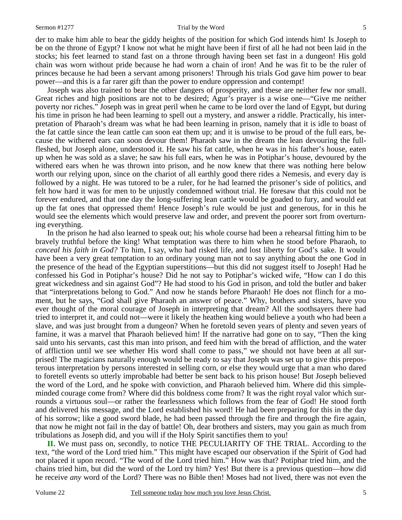#### Sermon #1277 Trial by the Word

5

der to make him able to bear the giddy heights of the position for which God intends him! Is Joseph to be on the throne of Egypt? I know not what he might have been if first of all he had not been laid in the stocks; his feet learned to stand fast on a throne through having been set fast in a dungeon! His gold chain was worn without pride because he had worn a chain of iron! And he was fit to be the ruler of princes because he had been a servant among prisoners! Through his trials God gave him power to bear power—and this is a far rarer gift than the power to endure oppression and contempt!

 Joseph was also trained to bear the other dangers of prosperity, and these are neither few nor small. Great riches and high positions are not to be desired; Agur's prayer is a wise one—"Give me neither poverty nor riches." Joseph was in great peril when he came to be lord over the land of Egypt, but during his time in prison he had been learning to spell out a mystery, and answer a riddle. Practically, his interpretation of Pharaoh's dream was what he had been learning in prison, namely that it is idle to boast of the fat cattle since the lean cattle can soon eat them up; and it is unwise to be proud of the full ears, because the withered ears can soon devour them! Pharaoh saw in the dream the lean devouring the fullfleshed, but Joseph alone, understood it. He saw his fat cattle, when he was in his father's house, eaten up when he was sold as a slave; he saw his full ears, when he was in Potiphar's house, devoured by the withered ears when he was thrown into prison, and he now knew that there was nothing here below worth our relying upon, since on the chariot of all earthly good there rides a Nemesis, and every day is followed by a night. He was tutored to be a ruler, for he had learned the prisoner's side of politics, and felt how hard it was for men to be unjustly condemned without trial. He foresaw that this could not be forever endured, and that one day the long-suffering lean cattle would be goaded to fury, and would eat up the fat ones that oppressed them! Hence Joseph's rule would be just and generous, for in this he would see the elements which would preserve law and order, and prevent the poorer sort from overturning everything.

In the prison he had also learned to speak out; his whole course had been a rehearsal fitting him to be bravely truthful before the king! What temptation was there to him when he stood before Pharaoh, to *conceal his faith in God?* To him, I say, who had risked life, and lost liberty for God's sake. It would have been a very great temptation to an ordinary young man not to say anything about the one God in the presence of the head of the Egyptian superstitions—but this did not suggest itself to Joseph! Had he confessed his God in Potiphar's house? Did he not say to Potiphar's wicked wife, "How can I do this great wickedness and sin against God"? He had stood to his God in prison, and told the butler and baker that "interpretations belong to God." And now he stands before Pharaoh! He does not flinch for a moment, but he says, "God shall give Pharaoh an answer of peace." Why, brothers and sisters, have you ever thought of the moral courage of Joseph in interpreting that dream? All the soothsayers there had tried to interpret it, and could not—were it likely the heathen king would believe a youth who had been a slave, and was just brought from a dungeon? When he foretold seven years of plenty and seven years of famine, it was a marvel that Pharaoh believed him! If the narrative had gone on to say, "Then the king said unto his servants, cast this man into prison, and feed him with the bread of affliction, and the water of affliction until we see whether His word shall come to pass," we should not have been at all surprised! The magicians naturally enough would be ready to say that Joseph was set up to give this preposterous interpretation by persons interested in selling corn, or else they would urge that a man who dared to foretell events so utterly improbable had better be sent back to his prison house! But Joseph believed the word of the Lord, and he spoke with conviction, and Pharaoh believed him. Where did this simpleminded courage come from? Where did this boldness come from? It was the right royal valor which surrounds a virtuous soul—or rather the fearlessness which follows from the fear of God! He stood forth and delivered his message, and the Lord established his word! He had been preparing for this in the day of his sorrow; like a good sword blade, he had been passed through the fire and through the fire again, that now he might not fail in the day of battle! Oh, dear brothers and sisters, may you gain as much from tribulations as Joseph did, and you will if the Holy Spirit sanctifies them to you!

**II.** We must pass on, secondly, to notice THE PECULIARITY OF THE TRIAL. According to the text, "the word of the Lord tried him." This might have escaped our observation if the Spirit of God had not placed it upon record. "The word of the Lord tried him." How was that? Potiphar tried him, and the chains tried him, but did the word of the Lord try him? Yes! But there is a previous question—how did he receive *any* word of the Lord? There was no Bible then! Moses had not lived, there was not even the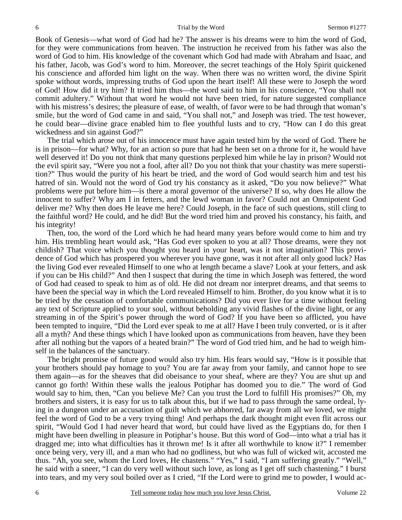Book of Genesis—what word of God had he? The answer is his dreams were to him the word of God, for they were communications from heaven. The instruction he received from his father was also the word of God to him. His knowledge of the covenant which God had made with Abraham and Isaac, and his father, Jacob, was God's word to him. Moreover, the secret teachings of the Holy Spirit quickened his conscience and afforded him light on the way. When there was no written word, the divine Spirit spoke without words, impressing truths of God upon the heart itself! All these were to Joseph the word of God! How did it try him? It tried him thus—the word said to him in his conscience, "You shall not commit adultery." Without that word he would not have been tried, for nature suggested compliance with his mistress's desires; the pleasure of ease, of wealth, of favor were to be had through that woman's smile, but the word of God came in and said, "You shall not," and Joseph was tried. The test however, he could bear—divine grace enabled him to flee youthful lusts and to cry, "How can I do this great wickedness and sin against God?"

The trial which arose out of his innocence must have again tested him by the word of God. There he is in prison—for what? Why, for an action so pure that had he been set on a throne for it, he would have well deserved it! Do you not think that many questions perplexed him while he lay in prison? Would not the evil spirit say, "Were you not a fool, after all? Do you not think that your chastity was mere superstition?" Thus would the purity of his heart be tried, and the word of God would search him and test his hatred of sin. Would not the word of God try his constancy as it asked, "Do you now believe?" What problems were put before him—is there a moral governor of the universe? If so, why does He allow the innocent to suffer? Why am I in fetters, and the lewd woman in favor? Could not an Omnipotent God deliver me? Why then does He leave me here? Could Joseph, in the face of such questions, still cling to the faithful word? He could, and he did! But the word tried him and proved his constancy, his faith, and his integrity!

Then, too, the word of the Lord which he had heard many years before would come to him and try him. His trembling heart would ask, "Has God ever spoken to you at all? Those dreams, were they not childish? That voice which you thought you heard in your heart, was it not imagination? This providence of God which has prospered you wherever you have gone, was it not after all only good luck? Has the living God ever revealed Himself to one who at length became a slave? Look at your fetters, and ask if you can be His child?" And then I suspect that during the time in which Joseph was fettered, the word of God had ceased to speak to him as of old. He did not dream nor interpret dreams, and that seems to have been the special way in which the Lord revealed Himself to him. Brother, do you know what it is to be tried by the cessation of comfortable communications? Did you ever live for a time without feeling any text of Scripture applied to your soul, without beholding any vivid flashes of the divine light, or any streaming in of the Spirit's power through the word of God? If you have been so afflicted, you have been tempted to inquire, "Did the Lord ever speak to me at all? Have I been truly converted, or is it after all a myth? And these things which I have looked upon as communications from heaven, have they been after all nothing but the vapors of a heated brain?" The word of God tried him, and he had to weigh himself in the balances of the sanctuary.

The bright promise of future good would also try him. His fears would say, "How is it possible that your brothers should pay homage to you? You are far away from your family, and cannot hope to see them again—as for the sheaves that did obeisance to your sheaf, where are they? You are shut up and cannot go forth! Within these walls the jealous Potiphar has doomed you to die." The word of God would say to him, then, "Can you believe Me? Can you trust the Lord to fulfill His promises?" Oh, my brothers and sisters, it is easy for us to talk about this, but if we had to pass through the same ordeal, lying in a dungeon under an accusation of guilt which we abhorred, far away from all we loved, we might feel the word of God to be a very trying thing! And perhaps the dark thought might even flit across our spirit, "Would God I had never heard that word, but could have lived as the Egyptians do, for then I might have been dwelling in pleasure in Potiphar's house. But this word of God—into what a trial has it dragged me; into what difficulties has it thrown me! Is it after all worthwhile to know it?" I remember once being very, very ill, and a man who had no godliness, but who was full of wicked wit, accosted me thus. "Ah, you see, whom the Lord loves, He chastens." "Yes," I said, "I am suffering greatly." "Well," he said with a sneer, "I can do very well without such love, as long as I get off such chastening." I burst into tears, and my very soul boiled over as I cried, "If the Lord were to grind me to powder, I would ac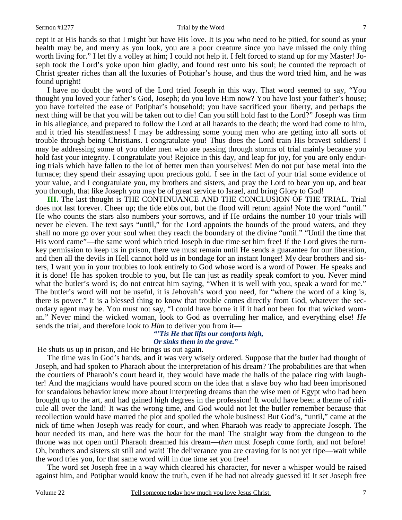cept it at His hands so that I might but have His love. It is *you* who need to be pitied, for sound as your health may be, and merry as you look, you are a poor creature since you have missed the only thing worth living for." I let fly a volley at him; I could not help it. I felt forced to stand up for my Master! Joseph took the Lord's yoke upon him gladly, and found rest unto his soul; he counted the reproach of Christ greater riches than all the luxuries of Potiphar's house, and thus the word tried him, and he was found upright!

I have no doubt the word of the Lord tried Joseph in this way. That word seemed to say, "You thought you loved your father's God, Joseph; do you love Him now? You have lost your father's house; you have forfeited the ease of Potiphar's household; you have sacrificed your liberty, and perhaps the next thing will be that you will be taken out to die! Can you still hold fast to the Lord?" Joseph was firm in his allegiance, and prepared to follow the Lord at all hazards to the death; the word had come to him, and it tried his steadfastness! I may be addressing some young men who are getting into all sorts of trouble through being Christians. I congratulate you! Thus does the Lord train His bravest soldiers! I may be addressing some of you older men who are passing through storms of trial mainly because you hold fast your integrity. I congratulate you! Rejoice in this day, and leap for joy, for you are only enduring trials which have fallen to the lot of better men than yourselves! Men do not put base metal into the furnace; they spend their assaying upon precious gold. I see in the fact of your trial some evidence of your value, and I congratulate you, my brothers and sisters, and pray the Lord to bear you up, and bear you through, that like Joseph you may be of great service to Israel, and bring Glory to God!

**III.** The last thought is THE CONTINUANCE AND THE CONCLUSION OF THE TRIAL. Trial does not last forever. Cheer up; the tide ebbs out, but the flood will return again! Note the word "until." He who counts the stars also numbers your sorrows, and if He ordains the number 10 your trials will never be eleven. The text says "until," for the Lord appoints the bounds of the proud waters, and they shall no more go over your soul when they reach the boundary of the divine "until." "Until the time that His word came"—the same word which tried Joseph in due time set him free! If the Lord gives the turnkey permission to keep us in prison, there we must remain until He sends a guarantee for our liberation, and then all the devils in Hell cannot hold us in bondage for an instant longer! My dear brothers and sisters, I want you in your troubles to look entirely to God whose word is a word of Power. He speaks and it is done! He has spoken trouble to you, but He can just as readily speak comfort to you. Never mind what the butler's word is; do not entreat him saying, "When it is well with you, speak a word for me." The butler's word will not be useful, it is Jehovah's word you need, for "where the word of a king is, there is power." It is a blessed thing to know that trouble comes directly from God, whatever the secondary agent may be. You must not say, "I could have borne it if it had not been for that wicked woman." Never mind the wicked woman, look to God as overruling her malice, and everything else! *He* sends the trial, and therefore look to *Him* to deliver you from it—

### *"'Tis He that lifts our comforts high, Or sinks them in the grave."*

He shuts us up in prison, and He brings us out again.

 The time was in God's hands, and it was very wisely ordered. Suppose that the butler had thought of Joseph, and had spoken to Pharaoh about the interpretation of his dream? The probabilities are that when the courtiers of Pharaoh's court heard it, they would have made the halls of the palace ring with laughter! And the magicians would have poured scorn on the idea that a slave boy who had been imprisoned for scandalous behavior knew more about interpreting dreams than the wise men of Egypt who had been brought up to the art, and had gained high degrees in the profession! It would have been a theme of ridicule all over the land! It was the wrong time, and God would not let the butler remember because that recollection would have marred the plot and spoiled the whole business! But God's, "until," came at the nick of time when Joseph was ready for court, and when Pharaoh was ready to appreciate Joseph. The hour needed its man, and here was the hour for the man! The straight way from the dungeon to the throne was not open until Pharaoh dreamed his dream—*then* must Joseph come forth, and not before! Oh, brothers and sisters sit still and wait! The deliverance you are craving for is not yet ripe—wait while the word tries you, for that same word will in due time set you free!

 The word set Joseph free in a way which cleared his character, for never a whisper would be raised against him, and Potiphar would know the truth, even if he had not already guessed it! It set Joseph free